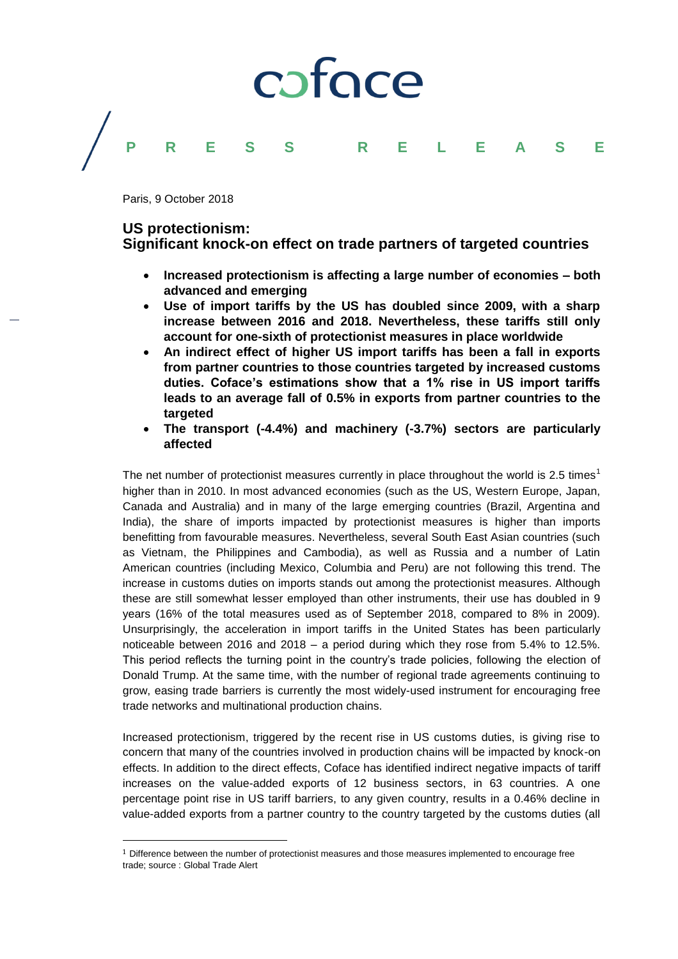# coface **PRESS RELEASE**

Paris, 9 October 2018

 $\overline{\phantom{a}}$ 

### **US protectionism:**

## **Significant knock-on effect on trade partners of targeted countries**

- **Increased protectionism is affecting a large number of economies – both advanced and emerging**
- **Use of import tariffs by the US has doubled since 2009, with a sharp increase between 2016 and 2018. Nevertheless, these tariffs still only account for one-sixth of protectionist measures in place worldwide**
- **An indirect effect of higher US import tariffs has been a fall in exports from partner countries to those countries targeted by increased customs duties. Coface's estimations show that a 1% rise in US import tariffs leads to an average fall of 0.5% in exports from partner countries to the targeted**
- **The transport (-4.4%) and machinery (-3.7%) sectors are particularly affected**

The net number of protectionist measures currently in place throughout the world is 2.5 times<sup>1</sup> higher than in 2010. In most advanced economies (such as the US, Western Europe, Japan, Canada and Australia) and in many of the large emerging countries (Brazil, Argentina and India), the share of imports impacted by protectionist measures is higher than imports benefitting from favourable measures. Nevertheless, several South East Asian countries (such as Vietnam, the Philippines and Cambodia), as well as Russia and a number of Latin American countries (including Mexico, Columbia and Peru) are not following this trend. The increase in customs duties on imports stands out among the protectionist measures. Although these are still somewhat lesser employed than other instruments, their use has doubled in 9 years (16% of the total measures used as of September 2018, compared to 8% in 2009). Unsurprisingly, the acceleration in import tariffs in the United States has been particularly noticeable between 2016 and 2018 – a period during which they rose from 5.4% to 12.5%. This period reflects the turning point in the country's trade policies, following the election of Donald Trump. At the same time, with the number of regional trade agreements continuing to grow, easing trade barriers is currently the most widely-used instrument for encouraging free trade networks and multinational production chains.

Increased protectionism, triggered by the recent rise in US customs duties, is giving rise to concern that many of the countries involved in production chains will be impacted by knock-on effects. In addition to the direct effects, Coface has identified indirect negative impacts of tariff increases on the value-added exports of 12 business sectors, in 63 countries. A one percentage point rise in US tariff barriers, to any given country, results in a 0.46% decline in value-added exports from a partner country to the country targeted by the customs duties (all

 $1$  Difference between the number of protectionist measures and those measures implemented to encourage free trade; source : Global Trade Alert